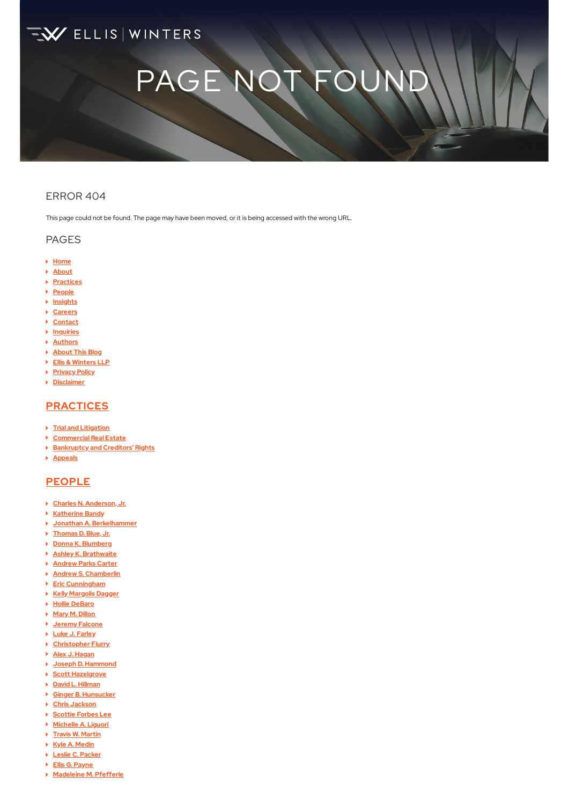# **EX** ELLIS WINTERS

# PAGE NOT F

## ERROR 404

This page could not be found. The page may have been moved, or it is being accessed with the wrong URL.

#### PAGES

- **[Home](https://www.elliswinters.com/)**
- **[About](https://www.elliswinters.com/firm/)**
- **[Practices](https://www.elliswinters.com/practices/)**
- **[People](https://www.elliswinters.com/people/)**
- **[Insights](https://www.elliswinters.com/insights/)**
- **[Careers](https://www.elliswinters.com/careers/)**
- **[Contact](https://www.elliswinters.com/contact/)**
- **[Inquiries](https://www.elliswinters.com/inquiries/)**
- **[Authors](https://www.elliswinters.com/blogauthors/)**
- **[About](https://www.elliswinters.com/about/) This Blog**
- **Ellis & [Winters](https://www.elliswinters.com/elliswinters/) LLP**
- **[Privacy](https://www.elliswinters.com/privacy-policy/) Policy**
- **[Disclaimer](https://www.elliswinters.com/disclaimer/)**

# **[PRACTICES](https://www.elliswinters.com/practices/)**

- **Trial and [Litigation](https://www.elliswinters.com/practices/trial-practice-and-litigation/)**
- **[Commercial](https://www.elliswinters.com/practices/commercial-real-estate/) Real Estate**
- **[Bankruptcy](https://www.elliswinters.com/practices/bankruptcy-and-creditors-rights/) and Creditors' Rights**
- **[Appeals](https://www.elliswinters.com/practices/trial-practice-and-litigation/appeals/)**

# **[PEOPLE](https://www.elliswinters.com/people/)**

- **Charles N. [Anderson,](https://www.elliswinters.com/attorneys/charles-n-anderson-jr/) Jr.**
- **[Katherine](https://www.elliswinters.com/attorneys/katherine-bandy/) Bandy**
- **Jonathan A. [Berkelhammer](https://www.elliswinters.com/attorneys/jonathan-a-berkelhammer/)**
- **[Thomas](https://www.elliswinters.com/attorneys/thomas-d-blue-jr/) D. Blue, Jr.**
- **Donna K. [Blumberg](https://www.elliswinters.com/attorneys/donna-k-blumberg/)**
- **Ashley K. [Brathwaite](https://www.elliswinters.com/attorneys/ashley-k-brathwaite/)**
- **[Andrew](https://www.elliswinters.com/attorneys/andrew-parks-carter/) Parks Carter**
- **Andrew S. [Chamberlin](https://www.elliswinters.com/attorneys/andrew-s-chamberlin/)**
- **Eric [Cunningham](https://www.elliswinters.com/attorneys/eric-cunningham/)**
- **Kelly [Margolis](https://www.elliswinters.com/attorneys/kelly-margolis-dagger/) Dagger**
- **Hollie [DeBaro](https://www.elliswinters.com/attorneys/hollie-debaro/)**
- **Mary M. [Dillon](https://www.elliswinters.com/attorneys/mary-m-dillon/)**
- **Jeremy [Falcone](https://www.elliswinters.com/attorneys/jeremy-falcone/)**
- **Luke J. [Farley](https://www.elliswinters.com/attorneys/luke-j-farley-sr/)**
- **[Christopher](https://www.elliswinters.com/attorneys/christopher-flurry/) Flurry**
- **Alex J. [Hagan](https://www.elliswinters.com/attorneys/alex-j-hagan/)**
- **Joseph D. [Hammond](https://www.elliswinters.com/attorneys/joseph-d-hammond/) Scott [Hazelgrove](https://www.elliswinters.com/attorneys/scott-hazelgrove/)**
- **David L. [Hillman](https://www.elliswinters.com/attorneys/david-l-hillman/)**
- **Ginger B. [Hunsucker](https://www.elliswinters.com/attorneys/ginger-b-hunsucker/)**
- **Chris [Jackson](https://www.elliswinters.com/attorneys/christopher-w-jackson/)**
- **[Scottie](https://www.elliswinters.com/attorneys/scottie-forbes-lee/) Forbes Lee**
- **[Michelle](https://www.elliswinters.com/attorneys/michelle-liguori/) A. Liguori**
- **Travis W. [Martin](https://www.elliswinters.com/attorneys/travis-martin/)**
- **Kyle A. [Medin](https://www.elliswinters.com/attorneys/kyle-a-medin/)**
- **Leslie C. [Packer](https://www.elliswinters.com/attorneys/leslie-c-packer/)**
- **Ellis G. [Payne](https://www.elliswinters.com/attorneys/ellis-payne/)**
- **[Madeleine](https://www.elliswinters.com/attorneys/madeleine-m-pfefferle/) M. Pfefferle**